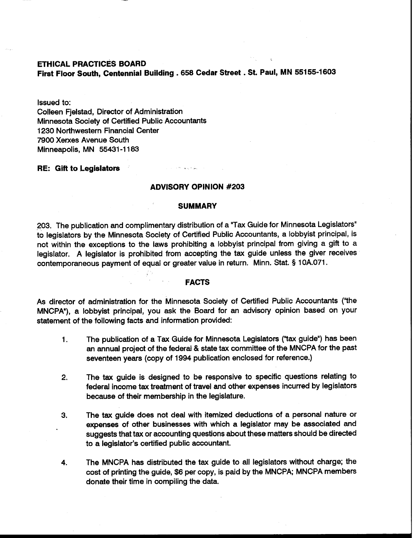**ETHICAL PRACTICES BOARD** 

**First Floor South, Centennial Building** . **658 Cedar Street** . **St. Paul, MN 55155-1603** 

Issued to:

Colleen Fjelstad, Director of Administration Minnesota Society of Certified Public Accountants 1230 Northwestern Financial Center 7900 Xerxes Avenue South Minneapolis, MN 55431 -1 183

# **RE: Gift to Legislators**

# **ADVISORY OPINION #203**

## **SUMMARY**

203. The publication and complimentary distribution of a "Tax Guide for Minnesota Legislators" to legislators by the Minnesota Society of Certified Public Accountants, a lobbyist principal, is not within the exceptions to the laws prohibiting a lobbyist principal from giving a gift to a legislator. A legislator is prohibited from accepting the tax guide unless the giver receives contemporaneous payment of equal or greater value in return. Minn. Stat. § 1 OA.071.

#### **FACTS**

As director of administration for the Minnesota Society of Certified Public Accountants ("the MNCPA"), a lobbyist principal, you ask the Board for an advisory opinion based on your statement of the following facts and information provided:

- **1.** The publication of a Tax Guide for Minnesota Legislators ("tax guide") has been an annual project of the federal & state tax committee of the MNCPA for the past seventeen years (copy of 1994 publication enclosed for reference.)
- **2.** The tax guide is designed to be responsive to specific questions relating to federal income tax treatment of travel and other expenses incurred by legislators because of their membership in the legislature.
- **3.** The tax guide does not deal with itemized deductions of a personal nature or expenses of other businesses with which a legislator may be associated and suggests that tax or accounting questions about these matters should be directed to a legislator's certified public accountant.
- **4.** The MNCPA has distributed the tax guide to all legislators without charge; the cost of printing the guide, \$6 per copy, is paid by the MNCPA; MNCPA members donate their time in compiling the data.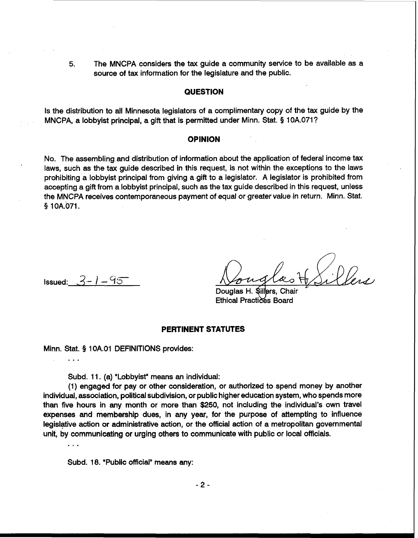**5.** The MNCPA considers the tax guide a community service to be available as a source of tax information for the legislature and the public.

# **QUESTION**

Is the distribution to all Minnesota legislators of a complimentary copy of the tax guide by the MNCPA, a lobbyist principal, a gift that is permitted under Minn. Stat. § 10A.071?

### **OPINION**

No. The assembling and distribution of information about the application of federal income tax laws, such **as** the tax guide described in this request, is not within the exceptions to the laws prohibiting a lobbyist principal from giving a gift to a legislator. A legislator is prohibited from accepting a gift from a lobbyist principal, such as the tax guide described in this request, unless the MNCPA receives contemporaneous payment of equal or greater value in return. Minn. Stat. § 10A.071.

 $Issued: 3 - 1 - 95$ 

. . .

Douglas H. Sillers. **Ethical Practices Board** 

# **PERTINENT STATUTES**

Minn. Stat. § 1 OA.O1 DEFINITIONS provides:

Subd. 11. (a) "Lobbyist" means an individual:

(1) engaged for pay or other consideration, or authorized to spend money by another individual, association, political subdivision, or public higher education system, who spends more than five hours in any month or more than \$250, not including the individual's own travel expenses and membership dues, in any year, for the purpose of attempting to influence legislative action or administrative action, or the official action of a metropolitan governmental unit, by communicating or urging others to communicate with public or local officials. ...

Subd. 18. "Public official" means any: